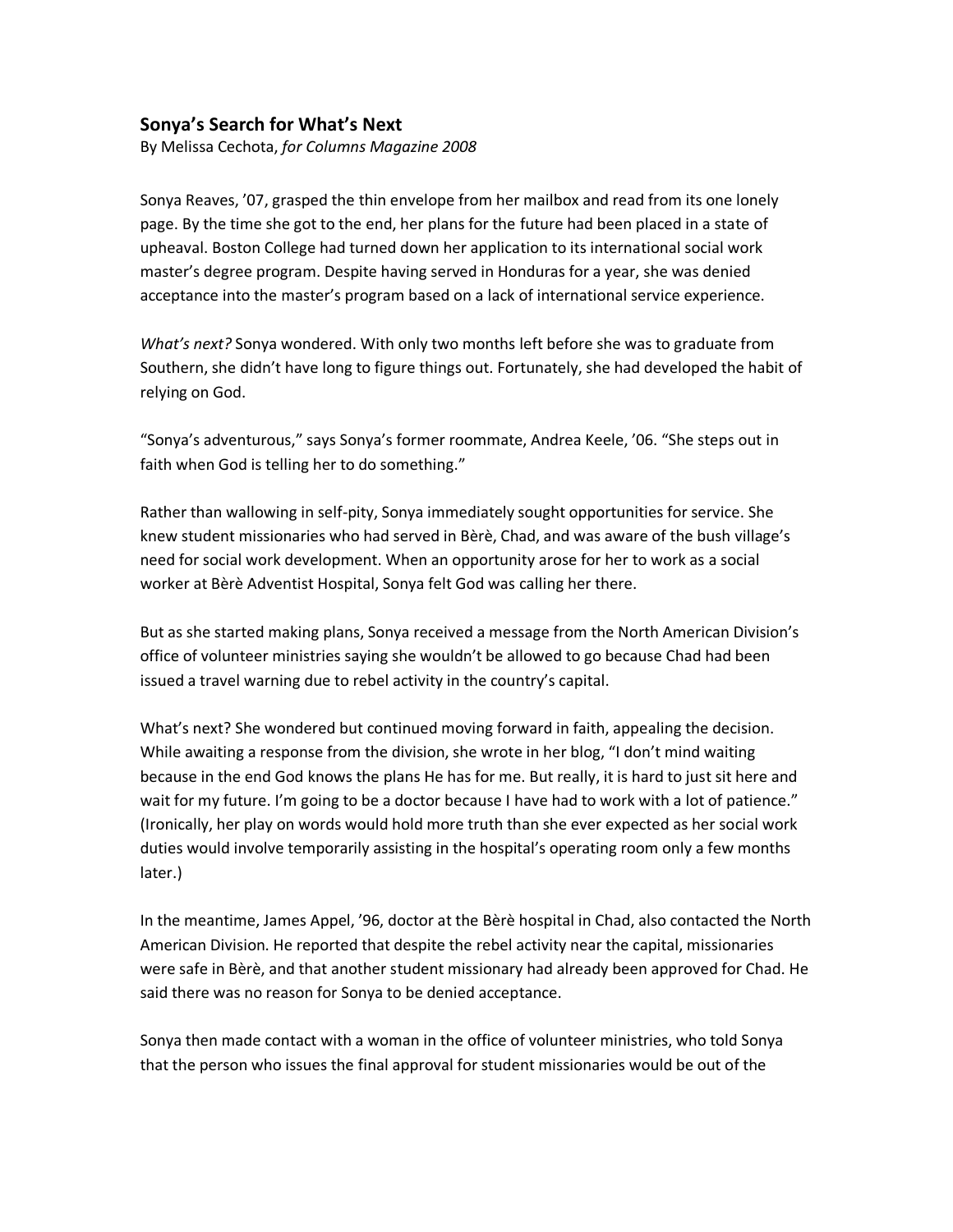## **Sonya's Search for What's Next**

By Melissa Cechota, *for Columns Magazine 2008*

Sonya Reaves, '07, grasped the thin envelope from her mailbox and read from its one lonely page. By the time she got to the end, her plans for the future had been placed in a state of upheaval. Boston College had turned down her application to its international social work master's degree program. Despite having served in Honduras for a year, she was denied acceptance into the master's program based on a lack of international service experience.

*What's next?* Sonya wondered. With only two months left before she was to graduate from Southern, she didn't have long to figure things out. Fortunately, she had developed the habit of relying on God.

"Sonya's adventurous," says Sonya's former roommate, Andrea Keele, '06. "She steps out in faith when God is telling her to do something."

Rather than wallowing in self-pity, Sonya immediately sought opportunities for service. She knew student missionaries who had served in Bèrè, Chad, and was aware of the bush village's need for social work development. When an opportunity arose for her to work as a social worker at Bèrè Adventist Hospital, Sonya felt God was calling her there.

But as she started making plans, Sonya received a message from the North American Division's office of volunteer ministries saying she wouldn't be allowed to go because Chad had been issued a travel warning due to rebel activity in the country's capital.

What's next? She wondered but continued moving forward in faith, appealing the decision. While awaiting a response from the division, she wrote in her blog, "I don't mind waiting because in the end God knows the plans He has for me. But really, it is hard to just sit here and wait for my future. I'm going to be a doctor because I have had to work with a lot of patience." (Ironically, her play on words would hold more truth than she ever expected as her social work duties would involve temporarily assisting in the hospital's operating room only a few months later.)

In the meantime, James Appel, '96, doctor at the Bèrè hospital in Chad, also contacted the North American Division. He reported that despite the rebel activity near the capital, missionaries were safe in Bèrè, and that another student missionary had already been approved for Chad. He said there was no reason for Sonya to be denied acceptance.

Sonya then made contact with a woman in the office of volunteer ministries, who told Sonya that the person who issues the final approval for student missionaries would be out of the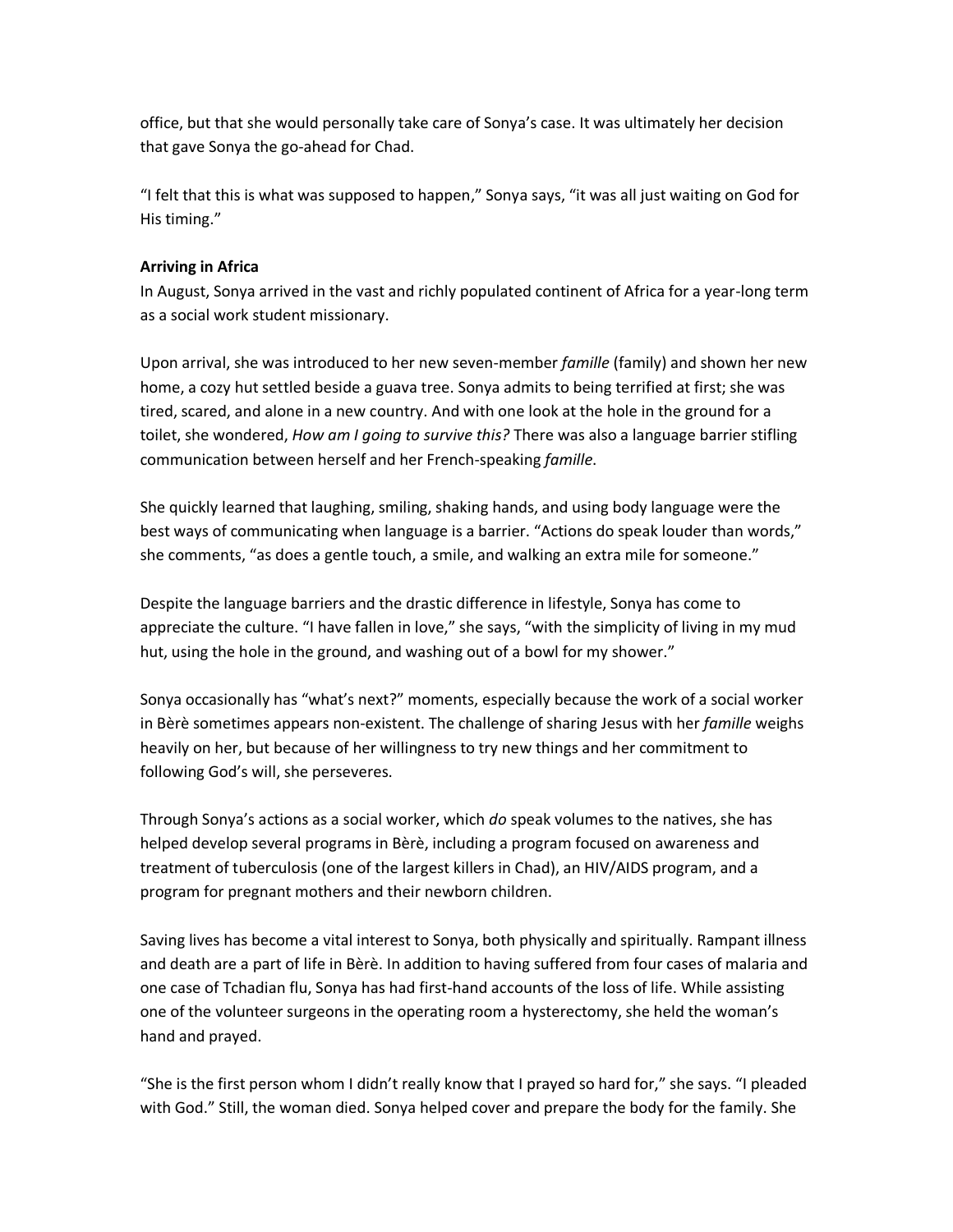office, but that she would personally take care of Sonya's case. It was ultimately her decision that gave Sonya the go-ahead for Chad.

"I felt that this is what was supposed to happen," Sonya says, "it was all just waiting on God for His timing."

## **Arriving in Africa**

In August, Sonya arrived in the vast and richly populated continent of Africa for a year-long term as a social work student missionary.

Upon arrival, she was introduced to her new seven-member *famille* (family) and shown her new home, a cozy hut settled beside a guava tree. Sonya admits to being terrified at first; she was tired, scared, and alone in a new country. And with one look at the hole in the ground for a toilet, she wondered, *How am I going to survive this?* There was also a language barrier stifling communication between herself and her French-speaking *famille*.

She quickly learned that laughing, smiling, shaking hands, and using body language were the best ways of communicating when language is a barrier. "Actions do speak louder than words," she comments, "as does a gentle touch, a smile, and walking an extra mile for someone."

Despite the language barriers and the drastic difference in lifestyle, Sonya has come to appreciate the culture. "I have fallen in love," she says, "with the simplicity of living in my mud hut, using the hole in the ground, and washing out of a bowl for my shower."

Sonya occasionally has "what's next?" moments, especially because the work of a social worker in Bèrè sometimes appears non-existent. The challenge of sharing Jesus with her *famille* weighs heavily on her, but because of her willingness to try new things and her commitment to following God's will, she perseveres.

Through Sonya's actions as a social worker, which *do* speak volumes to the natives, she has helped develop several programs in Bèrè, including a program focused on awareness and treatment of tuberculosis (one of the largest killers in Chad), an HIV/AIDS program, and a program for pregnant mothers and their newborn children.

Saving lives has become a vital interest to Sonya, both physically and spiritually. Rampant illness and death are a part of life in Bèrè. In addition to having suffered from four cases of malaria and one case of Tchadian flu, Sonya has had first-hand accounts of the loss of life. While assisting one of the volunteer surgeons in the operating room a hysterectomy, she held the woman's hand and prayed.

"She is the first person whom I didn't really know that I prayed so hard for," she says. "I pleaded with God." Still, the woman died. Sonya helped cover and prepare the body for the family. She